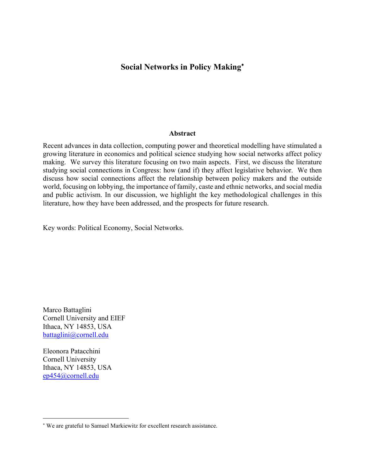# **Social Networks in Policy Making**

#### **Abstract**

Recent advances in data collection, computing power and theoretical modelling have stimulated a growing literature in economics and political science studying how social networks affect policy making. We survey this literature focusing on two main aspects. First, we discuss the literature studying social connections in Congress: how (and if) they affect legislative behavior. We then discuss how social connections affect the relationship between policy makers and the outside world, focusing on lobbying, the importance of family, caste and ethnic networks, and social media and public activism. In our discussion, we highlight the key methodological challenges in this literature, how they have been addressed, and the prospects for future research.

Key words: Political Economy, Social Networks.

Marco Battaglini Cornell University and EIEF Ithaca, NY 14853, USA battaglini@cornell.edu

Eleonora Patacchini Cornell University Ithaca, NY 14853, USA ep454@cornell.edu

 We are grateful to Samuel Markiewitz for excellent research assistance.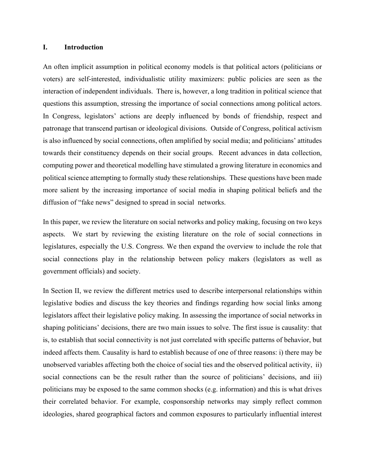### **I. Introduction**

An often implicit assumption in political economy models is that political actors (politicians or voters) are self-interested, individualistic utility maximizers: public policies are seen as the interaction of independent individuals. There is, however, a long tradition in political science that questions this assumption, stressing the importance of social connections among political actors. In Congress, legislators' actions are deeply influenced by bonds of friendship, respect and patronage that transcend partisan or ideological divisions. Outside of Congress, political activism is also influenced by social connections, often amplified by social media; and politicians' attitudes towards their constituency depends on their social groups. Recent advances in data collection, computing power and theoretical modelling have stimulated a growing literature in economics and political science attempting to formally study these relationships. These questions have been made more salient by the increasing importance of social media in shaping political beliefs and the diffusion of "fake news" designed to spread in social networks.

In this paper, we review the literature on social networks and policy making, focusing on two keys aspects. We start by reviewing the existing literature on the role of social connections in legislatures, especially the U.S. Congress. We then expand the overview to include the role that social connections play in the relationship between policy makers (legislators as well as government officials) and society.

In Section II, we review the different metrics used to describe interpersonal relationships within legislative bodies and discuss the key theories and findings regarding how social links among legislators affect their legislative policy making. In assessing the importance of social networks in shaping politicians' decisions, there are two main issues to solve. The first issue is causality: that is, to establish that social connectivity is not just correlated with specific patterns of behavior, but indeed affects them. Causality is hard to establish because of one of three reasons: i) there may be unobserved variables affecting both the choice of social ties and the observed political activity, ii) social connections can be the result rather than the source of politicians' decisions, and iii) politicians may be exposed to the same common shocks (e.g. information) and this is what drives their correlated behavior. For example, cosponsorship networks may simply reflect common ideologies, shared geographical factors and common exposures to particularly influential interest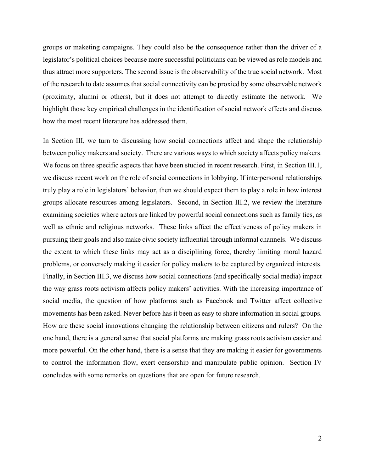groups or maketing campaigns. They could also be the consequence rather than the driver of a legislator's political choices because more successful politicians can be viewed as role models and thus attract more supporters. The second issue is the observability of the true social network. Most of the research to date assumes that social connectivity can be proxied by some observable network (proximity, alumni or others), but it does not attempt to directly estimate the network. We highlight those key empirical challenges in the identification of social network effects and discuss how the most recent literature has addressed them.

In Section III, we turn to discussing how social connections affect and shape the relationship between policy makers and society. There are various ways to which society affects policy makers. We focus on three specific aspects that have been studied in recent research. First, in Section III.1, we discuss recent work on the role of social connections in lobbying. If interpersonal relationships truly play a role in legislators' behavior, then we should expect them to play a role in how interest groups allocate resources among legislators. Second, in Section III.2, we review the literature examining societies where actors are linked by powerful social connections such as family ties, as well as ethnic and religious networks. These links affect the effectiveness of policy makers in pursuing their goals and also make civic society influential through informal channels. We discuss the extent to which these links may act as a disciplining force, thereby limiting moral hazard problems, or conversely making it easier for policy makers to be captured by organized interests. Finally, in Section III.3, we discuss how social connections (and specifically social media) impact the way grass roots activism affects policy makers' activities. With the increasing importance of social media, the question of how platforms such as Facebook and Twitter affect collective movements has been asked. Never before has it been as easy to share information in social groups. How are these social innovations changing the relationship between citizens and rulers? On the one hand, there is a general sense that social platforms are making grass roots activism easier and more powerful. On the other hand, there is a sense that they are making it easier for governments to control the information flow, exert censorship and manipulate public opinion. Section IV concludes with some remarks on questions that are open for future research.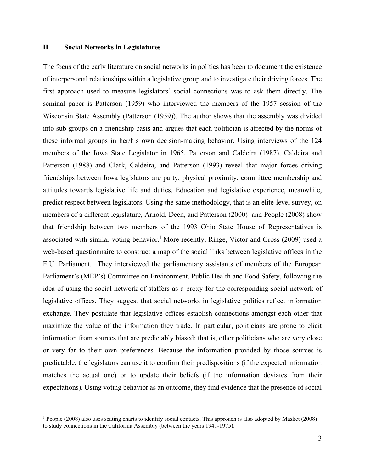### **II Social Networks in Legislatures**

The focus of the early literature on social networks in politics has been to document the existence of interpersonal relationships within a legislative group and to investigate their driving forces. The first approach used to measure legislators' social connections was to ask them directly. The seminal paper is Patterson (1959) who interviewed the members of the 1957 session of the Wisconsin State Assembly (Patterson (1959)). The author shows that the assembly was divided into sub-groups on a friendship basis and argues that each politician is affected by the norms of these informal groups in her/his own decision-making behavior. Using interviews of the 124 members of the Iowa State Legislator in 1965, Patterson and Caldeira (1987), Caldeira and Patterson (1988) and Clark, Caldeira, and Patterson (1993) reveal that major forces driving friendships between Iowa legislators are party, physical proximity, committee membership and attitudes towards legislative life and duties. Education and legislative experience, meanwhile, predict respect between legislators. Using the same methodology, that is an elite-level survey, on members of a different legislature, Arnold, Deen, and Patterson (2000) and People (2008) show that friendship between two members of the 1993 Ohio State House of Representatives is associated with similar voting behavior.<sup>1</sup> More recently, Ringe, Victor and Gross (2009) used a web-based questionnaire to construct a map of the social links between legislative offices in the E.U. Parliament. They interviewed the parliamentary assistants of members of the European Parliament's (MEP's) Committee on Environment, Public Health and Food Safety, following the idea of using the social network of staffers as a proxy for the corresponding social network of legislative offices. They suggest that social networks in legislative politics reflect information exchange. They postulate that legislative offices establish connections amongst each other that maximize the value of the information they trade. In particular, politicians are prone to elicit information from sources that are predictably biased; that is, other politicians who are very close or very far to their own preferences. Because the information provided by those sources is predictable, the legislators can use it to confirm their predispositions (if the expected information matches the actual one) or to update their beliefs (if the information deviates from their expectations). Using voting behavior as an outcome, they find evidence that the presence of social

<sup>&</sup>lt;sup>1</sup> People (2008) also uses seating charts to identify social contacts. This approach is also adopted by Masket (2008) to study connections in the California Assembly (between the years 1941-1975).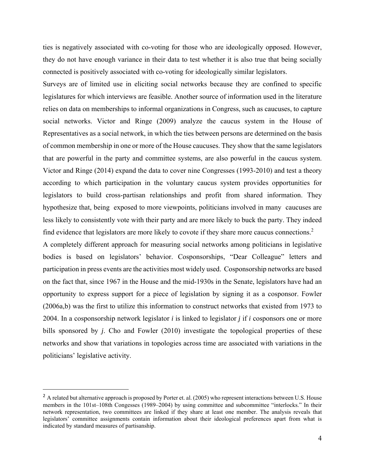ties is negatively associated with co-voting for those who are ideologically opposed. However, they do not have enough variance in their data to test whether it is also true that being socially connected is positively associated with co-voting for ideologically similar legislators.

Surveys are of limited use in eliciting social networks because they are confined to specific legislatures for which interviews are feasible. Another source of information used in the literature relies on data on memberships to informal organizations in Congress, such as caucuses, to capture social networks. Victor and Ringe (2009) analyze the caucus system in the House of Representatives as a social network, in which the ties between persons are determined on the basis of common membership in one or more of the House caucuses. They show that the same legislators that are powerful in the party and committee systems, are also powerful in the caucus system. Victor and Ringe (2014) expand the data to cover nine Congresses (1993-2010) and test a theory according to which participation in the voluntary caucus system provides opportunities for legislators to build cross-partisan relationships and profit from shared information. They hypothesize that, being exposed to more viewpoints, politicians involved in many caucuses are less likely to consistently vote with their party and are more likely to buck the party. They indeed find evidence that legislators are more likely to covote if they share more caucus connections.<sup>2</sup>

A completely different approach for measuring social networks among politicians in legislative bodies is based on legislators' behavior. Cosponsorships, "Dear Colleague" letters and participation in press events are the activities most widely used. Cosponsorship networks are based on the fact that, since 1967 in the House and the mid-1930s in the Senate, legislators have had an opportunity to express support for a piece of legislation by signing it as a cosponsor. Fowler (2006a,b) was the first to utilize this information to construct networks that existed from 1973 to 2004. In a cosponsorship network legislator *i* is linked to legislator *j* if *i* cosponsors one or more bills sponsored by *j*. Cho and Fowler (2010) investigate the topological properties of these networks and show that variations in topologies across time are associated with variations in the politicians' legislative activity.

 $<sup>2</sup>$  A related but alternative approach is proposed by Porter et. al. (2005) who represent interactions between U.S. House</sup> members in the 101st–108th Congesses (1989–2004) by using committee and subcommittee "interlocks." In their network representation, two committees are linked if they share at least one member. The analysis reveals that legislators' committee assignments contain information about their ideological preferences apart from what is indicated by standard measures of partisanship.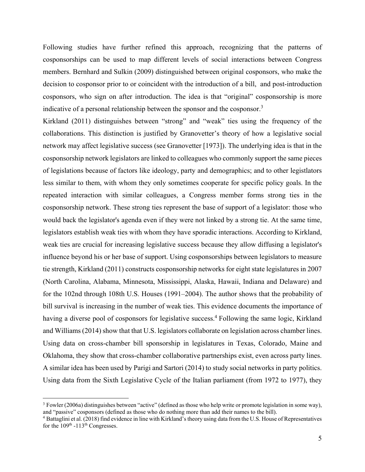Following studies have further refined this approach, recognizing that the patterns of cosponsorships can be used to map different levels of social interactions between Congress members. Bernhard and Sulkin (2009) distinguished between original cosponsors, who make the decision to cosponsor prior to or coincident with the introduction of a bill, and post-introduction cosponsors, who sign on after introduction. The idea is that "original" cosponsorship is more indicative of a personal relationship between the sponsor and the cosponsor.<sup>3</sup>

Kirkland (2011) distinguishes between "strong" and "weak" ties using the frequency of the collaborations. This distinction is justified by Granovetter's theory of how a legislative social network may affect legislative success (see Granovetter [1973]). The underlying idea is that in the cosponsorship network legislators are linked to colleagues who commonly support the same pieces of legislations because of factors like ideology, party and demographics; and to other legistlators less similar to them, with whom they only sometimes cooperate for specific policy goals. In the repeated interaction with similar colleagues, a Congress member forms strong ties in the cosponsorship network. These strong ties represent the base of support of a legislator: those who would back the legislator's agenda even if they were not linked by a strong tie. At the same time, legislators establish weak ties with whom they have sporadic interactions. According to Kirkland, weak ties are crucial for increasing legislative success because they allow diffusing a legislator's influence beyond his or her base of support. Using cosponsorships between legislators to measure tie strength, Kirkland (2011) constructs cosponsorship networks for eight state legislatures in 2007 (North Carolina, Alabama, Minnesota, Mississippi, Alaska, Hawaii, Indiana and Delaware) and for the 102nd through 108th U.S. Houses (1991–2004). The author shows that the probability of bill survival is increasing in the number of weak ties. This evidence documents the importance of having a diverse pool of cosponsors for legislative success.<sup>4</sup> Following the same logic, Kirkland and Williams (2014) show that that U.S. legislators collaborate on legislation across chamber lines. Using data on cross-chamber bill sponsorship in legislatures in Texas, Colorado, Maine and Oklahoma, they show that cross-chamber collaborative partnerships exist, even across party lines. A similar idea has been used by Parigi and Sartori (2014) to study social networks in party politics. Using data from the Sixth Legislative Cycle of the Italian parliament (from 1972 to 1977), they

<sup>&</sup>lt;sup>3</sup> Fowler (2006a) distinguishes between "active" (defined as those who help write or promote legislation in some way), and "passive" cosponsors (defined as those who do nothing more than add their names to the bill). 4

<sup>&</sup>lt;sup>4</sup> Battaglini et al. (2018) find evidence in line with Kirkland's theory using data from the U.S. House of Representatives for the  $109<sup>th</sup> - 113<sup>th</sup> Congresses.$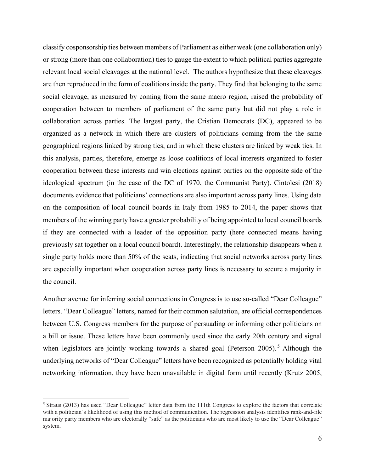classify cosponsorship ties between members of Parliament as either weak (one collaboration only) or strong (more than one collaboration) ties to gauge the extent to which political parties aggregate relevant local social cleavages at the national level. The authors hypothesize that these cleaveges are then reproduced in the form of coalitions inside the party. They find that belonging to the same social cleavage, as measured by coming from the same macro region, raised the probability of cooperation between to members of parliament of the same party but did not play a role in collaboration across parties. The largest party, the Cristian Democrats (DC), appeared to be organized as a network in which there are clusters of politicians coming from the the same geographical regions linked by strong ties, and in which these clusters are linked by weak ties. In this analysis, parties, therefore, emerge as loose coalitions of local interests organized to foster cooperation between these interests and win elections against parties on the opposite side of the ideological spectrum (in the case of the DC of 1970, the Communist Party). Cintolesi (2018) documents evidence that politicians' connections are also important across party lines. Using data on the composition of local council boards in Italy from 1985 to 2014, the paper shows that members of the winning party have a greater probability of being appointed to local council boards if they are connected with a leader of the opposition party (here connected means having previously sat together on a local council board). Interestingly, the relationship disappears when a single party holds more than 50% of the seats, indicating that social networks across party lines are especially important when cooperation across party lines is necessary to secure a majority in the council.

Another avenue for inferring social connections in Congress is to use so-called "Dear Colleague" letters. "Dear Colleague" letters, named for their common salutation, are official correspondences between U.S. Congress members for the purpose of persuading or informing other politicians on a bill or issue. These letters have been commonly used since the early 20th century and signal when legislators are jointly working towards a shared goal (Peterson 2005).<sup>5</sup> Although the underlying networks of "Dear Colleague" letters have been recognized as potentially holding vital networking information, they have been unavailable in digital form until recently (Krutz 2005,

<sup>5</sup> Straus (2013) has used "Dear Colleague" letter data from the 111th Congress to explore the factors that correlate with a politician's likelihood of using this method of communication. The regression analysis identifies rank-and-file majority party members who are electorally "safe" as the politicians who are most likely to use the "Dear Colleague" system.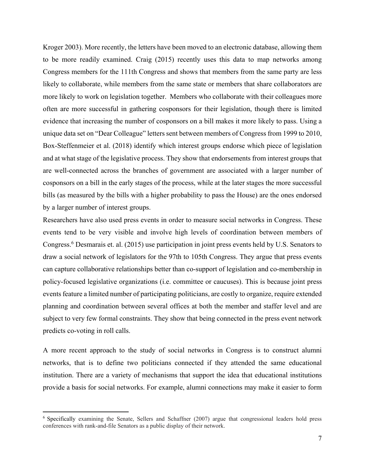Kroger 2003). More recently, the letters have been moved to an electronic database, allowing them to be more readily examined. Craig (2015) recently uses this data to map networks among Congress members for the 111th Congress and shows that members from the same party are less likely to collaborate, while members from the same state or members that share collaborators are more likely to work on legislation together. Members who collaborate with their colleagues more often are more successful in gathering cosponsors for their legislation, though there is limited evidence that increasing the number of cosponsors on a bill makes it more likely to pass. Using a unique data set on "Dear Colleague" letters sent between members of Congress from 1999 to 2010, Box-Steffenmeier et al. (2018) identify which interest groups endorse which piece of legislation and at what stage of the legislative process. They show that endorsements from interest groups that are well-connected across the branches of government are associated with a larger number of cosponsors on a bill in the early stages of the process, while at the later stages the more successful bills (as measured by the bills with a higher probability to pass the House) are the ones endorsed by a larger number of interest groups.

Researchers have also used press events in order to measure social networks in Congress. These events tend to be very visible and involve high levels of coordination between members of Congress.<sup>6</sup> Desmarais et. al. (2015) use participation in joint press events held by U.S. Senators to draw a social network of legislators for the 97th to 105th Congress. They argue that press events can capture collaborative relationships better than co-support of legislation and co-membership in policy-focused legislative organizations (i.e. committee or caucuses). This is because joint press events feature a limited number of participating politicians, are costly to organize, require extended planning and coordination between several offices at both the member and staffer level and are subject to very few formal constraints. They show that being connected in the press event network predicts co-voting in roll calls.

A more recent approach to the study of social networks in Congress is to construct alumni networks, that is to define two politicians connected if they attended the same educational institution. There are a variety of mechanisms that support the idea that educational institutions provide a basis for social networks. For example, alumni connections may make it easier to form

<sup>6</sup> Specifically examining the Senate, Sellers and Schaffner (2007) argue that congressional leaders hold press conferences with rank-and-file Senators as a public display of their network.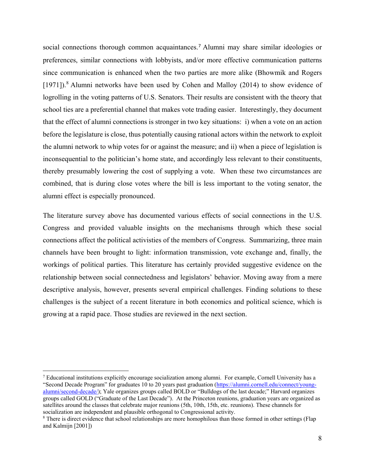social connections thorough common acquaintances.<sup>7</sup> Alumni may share similar ideologies or preferences, similar connections with lobbyists, and/or more effective communication patterns since communication is enhanced when the two parties are more alike (Bhowmik and Rogers [1971]).<sup>8</sup> Alumni networks have been used by Cohen and Malloy (2014) to show evidence of logrolling in the voting patterns of U.S. Senators. Their results are consistent with the theory that school ties are a preferential channel that makes vote trading easier. Interestingly, they document that the effect of alumni connections is stronger in two key situations: i) when a vote on an action before the legislature is close, thus potentially causing rational actors within the network to exploit the alumni network to whip votes for or against the measure; and ii) when a piece of legislation is inconsequential to the politician's home state, and accordingly less relevant to their constituents, thereby presumably lowering the cost of supplying a vote. When these two circumstances are combined, that is during close votes where the bill is less important to the voting senator, the alumni effect is especially pronounced.

The literature survey above has documented various effects of social connections in the U.S. Congress and provided valuable insights on the mechanisms through which these social connections affect the political activisties of the members of Congress. Summarizing, three main channels have been brought to light: information transmission, vote exchange and, finally, the workings of political parties. This literature has certainly provided suggestive evidence on the relationship between social connectedness and legislators' behavior. Moving away from a mere descriptive analysis, however, presents several empirical challenges. Finding solutions to these challenges is the subject of a recent literature in both economics and political science, which is growing at a rapid pace. Those studies are reviewed in the next section.

<sup>7</sup> Educational institutions explicitly encourage socialization among alumni. For example, Cornell University has a "Second Decade Program" for graduates 10 to 20 years past graduation (https://alumni.cornell.edu/connect/youngalumni/second-decade/); Yale organizes groups called BOLD or "Bulldogs of the last decade;" Harvard organizes groups called GOLD ("Graduate of the Last Decade"). At the Princeton reunions, graduation years are organized as satellites around the classes that celebrate major reunions (5th, 10th, 15th, etc. reunions). These channels for socialization are independent and plausible orthogonal to Congressional activity.

<sup>&</sup>lt;sup>8</sup> There is direct evidence that school relationships are more homophilous than those formed in other settings (Flap and Kalmijn [2001])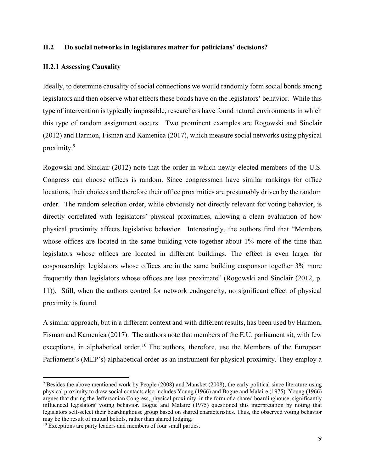## **II.2 Do social networks in legislatures matter for politicians' decisions?**

### **II.2.1 Assessing Causality**

Ideally, to determine causality of social connections we would randomly form social bonds among legislators and then observe what effects these bonds have on the legislators' behavior. While this type of intervention is typically impossible, researchers have found natural environments in which this type of random assignment occurs. Two prominent examples are Rogowski and Sinclair (2012) and Harmon, Fisman and Kamenica (2017), which measure social networks using physical proximity.9

Rogowski and Sinclair (2012) note that the order in which newly elected members of the U.S. Congress can choose offices is random. Since congressmen have similar rankings for office locations, their choices and therefore their office proximities are presumably driven by the random order. The random selection order, while obviously not directly relevant for voting behavior, is directly correlated with legislators' physical proximities, allowing a clean evaluation of how physical proximity affects legislative behavior. Interestingly, the authors find that "Members whose offices are located in the same building vote together about 1% more of the time than legislators whose offices are located in different buildings. The effect is even larger for cosponsorship: legislators whose offices are in the same building cosponsor together 3% more frequently than legislators whose offices are less proximate" (Rogowski and Sinclair (2012, p. 11)). Still, when the authors control for network endogeneity, no significant effect of physical proximity is found.

A similar approach, but in a different context and with different results, has been used by Harmon, Fisman and Kamenica (2017). The authors note that members of the E.U. parliament sit, with few exceptions, in alphabetical order.<sup>10</sup> The authors, therefore, use the Members of the European Parliament's (MEP's) alphabetical order as an instrument for physical proximity. They employ a

<sup>&</sup>lt;sup>9</sup> Besides the above mentioned work by People (2008) and Mansket (2008), the early political since literature using physical proximity to draw social contacts also includes Young (1966) and Bogue and Malaire (1975). Young (1966) argues that during the Jeffersonian Congress, physical proximity, in the form of a shared boardinghouse, significantly influenced legislators' voting behavior. Bogue and Malaire (1975) questioned this interpretation by noting that legislators self-select their boardinghouse group based on shared characteristics. Thus, the observed voting behavior may be the result of mutual beliefs, rather than shared lodging.<br><sup>10</sup> Exceptions are party leaders and members of four small parties.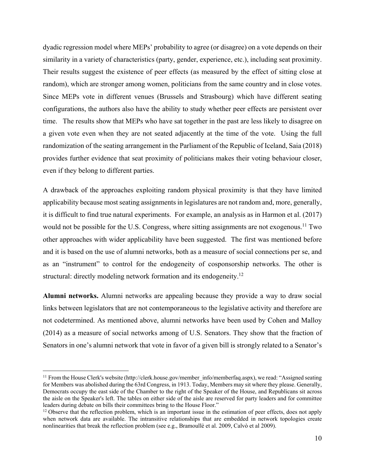dyadic regression model where MEPs' probability to agree (or disagree) on a vote depends on their similarity in a variety of characteristics (party, gender, experience, etc.), including seat proximity. Their results suggest the existence of peer effects (as measured by the effect of sitting close at random), which are stronger among women, politicians from the same country and in close votes. Since MEPs vote in different venues (Brussels and Strasbourg) which have different seating configurations, the authors also have the ability to study whether peer effects are persistent over time. The results show that MEPs who have sat together in the past are less likely to disagree on a given vote even when they are not seated adjacently at the time of the vote. Using the full randomization of the seating arrangement in the Parliament of the Republic of Iceland, Saia (2018) provides further evidence that seat proximity of politicians makes their voting behaviour closer, even if they belong to different parties.

A drawback of the approaches exploiting random physical proximity is that they have limited applicability because most seating assignments in legislatures are not random and, more, generally, it is difficult to find true natural experiments. For example, an analysis as in Harmon et al. (2017) would not be possible for the U.S. Congress, where sitting assignments are not exogenous.<sup>11</sup> Two other approaches with wider applicability have been suggested. The first was mentioned before and it is based on the use of alumni networks, both as a measure of social connections per se, and as an "instrument" to control for the endogeneity of cosponsorship networks. The other is structural: directly modeling network formation and its endogeneity.<sup>12</sup>

**Alumni networks.** Alumni networks are appealing because they provide a way to draw social links between legislators that are not contemporaneous to the legislative activity and therefore are not codetermined. As mentioned above, alumni networks have been used by Cohen and Malloy (2014) as a measure of social networks among of U.S. Senators. They show that the fraction of Senators in one's alumni network that vote in favor of a given bill is strongly related to a Senator's

<sup>&</sup>lt;sup>11</sup> From the House Clerk's website (http://clerk.house.gov/member\_info/memberfaq.aspx), we read: "Assigned seating for Members was abolished during the 63rd Congress, in 1913. Today, Members may sit where they please. Generally, Democrats occupy the east side of the Chamber to the right of the Speaker of the House, and Republicans sit across the aisle on the Speaker's left. The tables on either side of the aisle are reserved for party leaders and for committee leaders during debate on bills their committees bring to the House Floor."<br><sup>12</sup> Observe that the reflection problem, which is an important issue in the estimation of peer effects, does not apply

when network data are available. The intransitive relationships that are embedded in network topologies create nonlinearities that break the reflection problem (see e.g., Bramoullè et al. 2009, Calvò et al 2009).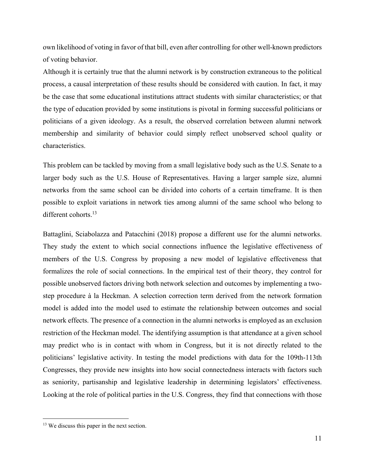own likelihood of voting in favor of that bill, even after controlling for other well-known predictors of voting behavior.

Although it is certainly true that the alumni network is by construction extraneous to the political process, a causal interpretation of these results should be considered with caution. In fact, it may be the case that some educational institutions attract students with similar characteristics; or that the type of education provided by some institutions is pivotal in forming successful politicians or politicians of a given ideology. As a result, the observed correlation between alumni network membership and similarity of behavior could simply reflect unobserved school quality or characteristics.

This problem can be tackled by moving from a small legislative body such as the U.S. Senate to a larger body such as the U.S. House of Representatives. Having a larger sample size, alumni networks from the same school can be divided into cohorts of a certain timeframe. It is then possible to exploit variations in network ties among alumni of the same school who belong to different cohorts.<sup>13</sup>

Battaglini, Sciabolazza and Patacchini (2018) propose a different use for the alumni networks. They study the extent to which social connections influence the legislative effectiveness of members of the U.S. Congress by proposing a new model of legislative effectiveness that formalizes the role of social connections. In the empirical test of their theory, they control for possible unobserved factors driving both network selection and outcomes by implementing a twostep procedure à la Heckman. A selection correction term derived from the network formation model is added into the model used to estimate the relationship between outcomes and social network effects. The presence of a connection in the alumni networks is employed as an exclusion restriction of the Heckman model. The identifying assumption is that attendance at a given school may predict who is in contact with whom in Congress, but it is not directly related to the politicians' legislative activity. In testing the model predictions with data for the 109th-113th Congresses, they provide new insights into how social connectedness interacts with factors such as seniority, partisanship and legislative leadership in determining legislators' effectiveness. Looking at the role of political parties in the U.S. Congress, they find that connections with those

<sup>&</sup>lt;sup>13</sup> We discuss this paper in the next section.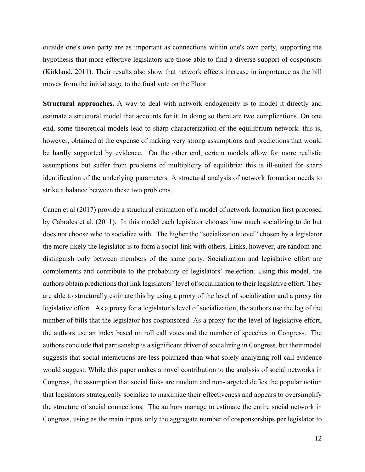outside one's own party are as important as connections within one's own party, supporting the hypothesis that more effective legislators are those able to find a diverse support of cosponsors (Kirkland, 2011). Their results also show that network effects increase in importance as the bill moves from the initial stage to the final vote on the Floor.

**Structural approaches.** A way to deal with network endogeneity is to model it directly and estimate a structural model that accounts for it. In doing so there are two complications. On one end, some theoretical models lead to sharp characterization of the equilibrium network: this is, however, obtained at the expense of making very strong assumptions and predictions that would be hardly supported by evidence. On the other end, certain models allow for more realistic assumptions but suffer from problems of multiplicity of equilibria: this is ill-suited for sharp identification of the underlying parameters. A structural analysis of network formation needs to strike a balance between these two problems.

Canen et al (2017) provide a structural estimation of a model of network formation first proposed by Cabrales et al. (2011). In this model each legislator chooses how much socializing to do but does not choose who to socialize with. The higher the "socialization level" chosen by a legislator the more likely the legislator is to form a social link with others. Links, however, are random and distinguish only between members of the same party. Socialization and legislative effort are complements and contribute to the probability of legislators' reelection. Using this model, the authors obtain predictions that link legislators' level of socialization to their legislative effort. They are able to structurally estimate this by using a proxy of the level of socialization and a proxy for legislative effort. As a proxy for a legislator's level of socialization, the authors use the log of the number of bills that the legislator has cosponsored. As a proxy for the level of legislative effort, the authors use an index based on roll call votes and the number of speeches in Congress. The authors conclude that partisanship is a significant driver of socializing in Congress, but their model suggests that social interactions are less polarized than what solely analyzing roll call evidence would suggest. While this paper makes a novel contribution to the analysis of social networks in Congress, the assumption that social links are random and non-targeted defies the popular notion that legislators strategically socialize to maximize their effectiveness and appears to oversimplify the structure of social connections. The authors manage to estimate the entire social network in Congress, using as the main inputs only the aggregate number of cosponsorships per legislator to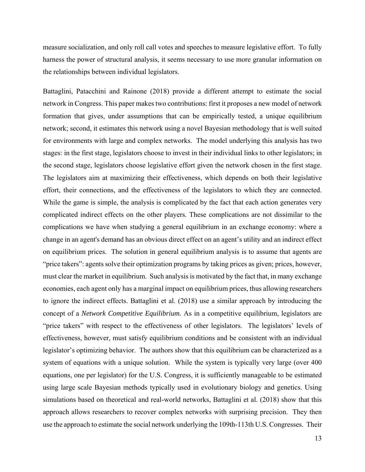measure socialization, and only roll call votes and speeches to measure legislative effort. To fully harness the power of structural analysis, it seems necessary to use more granular information on the relationships between individual legislators.

Battaglini, Patacchini and Rainone (2018) provide a different attempt to estimate the social network in Congress. This paper makes two contributions: first it proposes a new model of network formation that gives, under assumptions that can be empirically tested, a unique equilibrium network; second, it estimates this network using a novel Bayesian methodology that is well suited for environments with large and complex networks. The model underlying this analysis has two stages: in the first stage, legislators choose to invest in their individual links to other legislators; in the second stage, legislators choose legislative effort given the network chosen in the first stage. The legislators aim at maximizing their effectiveness, which depends on both their legislative effort, their connections, and the effectiveness of the legislators to which they are connected. While the game is simple, the analysis is complicated by the fact that each action generates very complicated indirect effects on the other players. These complications are not dissimilar to the complications we have when studying a general equilibrium in an exchange economy: where a change in an agent's demand has an obvious direct effect on an agent's utility and an indirect effect on equilibrium prices. The solution in general equilibrium analysis is to assume that agents are "price takers": agents solve their optimization programs by taking prices as given; prices, however, must clear the market in equilibrium. Such analysis is motivated by the fact that, in many exchange economies, each agent only has a marginal impact on equilibrium prices, thus allowing researchers to ignore the indirect effects. Battaglini et al. (2018) use a similar approach by introducing the concept of a *Network Competitive Equilibrium.* As in a competitive equilibrium, legislators are "price takers" with respect to the effectiveness of other legislators. The legislators' levels of effectiveness, however, must satisfy equilibrium conditions and be consistent with an individual legislator's optimizing behavior. The authors show that this equilibrium can be characterized as a system of equations with a unique solution. While the system is typically very large (over 400 equations, one per legislator) for the U.S. Congress, it is sufficiently manageable to be estimated using large scale Bayesian methods typically used in evolutionary biology and genetics. Using simulations based on theoretical and real-world networks, Battaglini et al. (2018) show that this approach allows researchers to recover complex networks with surprising precision. They then use the approach to estimate the social network underlying the 109th-113th U.S. Congresses. Their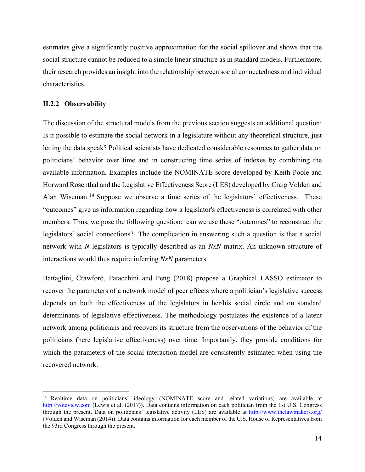estimates give a significantly positive approximation for the social spillover and shows that the social structure cannot be reduced to a simple linear structure as in standard models. Furthermore, their research provides an insight into the relationship between social connectedness and individual characteristics.

# **II.2.2 Observability**

The discussion of the structural models from the previous section suggests an additional question: Is it possible to estimate the social network in a legislature without any theoretical structure, just letting the data speak? Political scientists have dedicated considerable resources to gather data on politicians' behavior over time and in constructing time series of indexes by combining the available information. Examples include the NOMINATE score developed by Keith Poole and Horward Rosenthal and the Legislative Effectiveness Score (LES) developed by Craig Volden and Alan Wiseman.<sup>14</sup> Suppose we observe a time series of the legislators' effectiveness. These "outcomes" give us information regarding how a legislator's effectiveness is correlated with other members. Thus, we pose the following question: can we use these "outcomes" to reconstruct the legislators' social connections? The complication in answering such a question is that a social network with *N* legislators is typically described as an *NxN* matrix. An unknown structure of interactions would thus require inferring *NxN* parameters.

Battaglini, Crawford, Patacchini and Peng (2018) propose a Graphical LASSO estimator to recover the parameters of a network model of peer effects where a politician's legislative success depends on both the effectiveness of the legislators in her/his social circle and on standard determinants of legislative effectiveness. The methodology postulates the existence of a latent network among politicians and recovers its structure from the observations of the behavior of the politicians (here legislative effectiveness) over time. Importantly, they provide conditions for which the parameters of the social interaction model are consistently estimated when using the recovered network.

<sup>&</sup>lt;sup>14</sup> Realtime data on politicians' ideology (NOMINATE score and related variations) are available at http://voteview.com (Lewis et al. (2017)). Data contains information on each politician from the 1st U.S. Congress through the present. Data on politicians' legislative activity (LES) are available at http://www.thelawmakers.org/ (Volden and Wiseman (2014)). Data contains information for each member of the U.S. House of Representatives from the 93rd Congress through the present.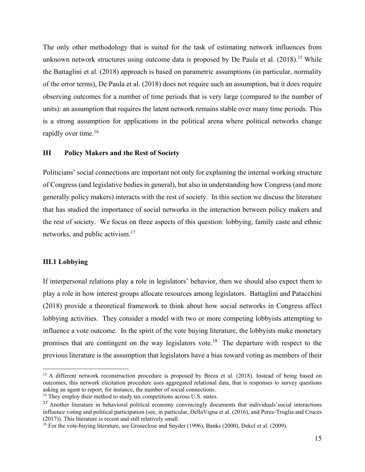The only other methodology that is suited for the task of estimating network influences from unknown network structures using outcome data is proposed by De Paula et al.  $(2018)$ <sup>15</sup> While the Battaglini et al. (2018) approach is based on parametric assumptions (in particular, normality of the error terms), De Paula et al. (2018) does not require such an assumption, but it does require observing outcomes for a number of time periods that is very large (compared to the number of units): an assumption that requires the latent network remains stable over many time periods. This is a strong assumption for applications in the political arena where political networks change rapidly over time.<sup>16</sup>

### **III Policy Makers and the Rest of Society**

Politicians' social connections are important not only for explaining the internal working structure of Congress (and legislative bodies in general), but also in understanding how Congress (and more generally policy makers) interacts with the rest of society. In this section we discuss the literature that has studied the importance of social networks in the interaction between policy makers and the rest of society. We focus on three aspects of this question: lobbying, family caste and ethnic networks, and public activism.<sup>17</sup>

## **III.1 Lobbying**

If interpersonal relations play a role in legislators' behavior, then we should also expect them to play a role in how interest groups allocate resources among legislators. Battaglini and Patacchini (2018) provide a theoretical framework to think about how social networks in Congress affect lobbying activities. They consider a model with two or more competing lobbyists attempting to influence a vote outcome. In the spirit of the vote buying literature, the lobbyists make monetary promises that are contingent on the way legislators vote.18 The departure with respect to the previous literature is the assumption that legislators have a bias toward voting as members of their

<sup>&</sup>lt;sup>15</sup> A different network reconstruction procedure is proposed by Breza et al. (2018). Instead of being based on outcomes, this network elicitation procedure uses aggregated relational data, that is responses to survey questions asking an agent to report, for instance, the number of social connections.

<sup>&</sup>lt;sup>16</sup> They employ their method to study tax competitions across U.S. states.

<sup>&</sup>lt;sup>17</sup> Another literature in behavioral political economy convincingly documents that individuals'social interactions influence voting and political participation (see, in particular, DellaVigna et al. (2016), and Perez-Truglia and Cruces (2017)). This literature is recent and still relatively small.

<sup>&</sup>lt;sup>18</sup> For the vote-buying literature, see Groseclose and Snyder (1996), Banks (2000), Dekel et al. (2009).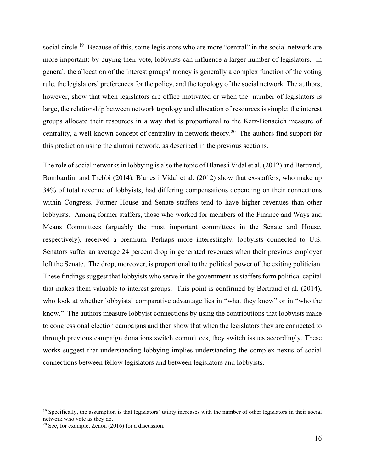social circle.<sup>19</sup> Because of this, some legislators who are more "central" in the social network are more important: by buying their vote, lobbyists can influence a larger number of legislators. In general, the allocation of the interest groups' money is generally a complex function of the voting rule, the legislators' preferences for the policy, and the topology of the social network. The authors, however, show that when legislators are office motivated or when the number of legislators is large, the relationship between network topology and allocation of resources is simple: the interest groups allocate their resources in a way that is proportional to the Katz-Bonacich measure of centrality, a well-known concept of centrality in network theory.20 The authors find support for this prediction using the alumni network, as described in the previous sections.

The role of social networks in lobbying is also the topic of Blanes i Vidal et al. (2012) and Bertrand, Bombardini and Trebbi (2014). Blanes i Vidal et al. (2012) show that ex-staffers, who make up 34% of total revenue of lobbyists, had differing compensations depending on their connections within Congress. Former House and Senate staffers tend to have higher revenues than other lobbyists. Among former staffers, those who worked for members of the Finance and Ways and Means Committees (arguably the most important committees in the Senate and House, respectively), received a premium. Perhaps more interestingly, lobbyists connected to U.S. Senators suffer an average 24 percent drop in generated revenues when their previous employer left the Senate. The drop, moreover, is proportional to the political power of the exiting politician. These findings suggest that lobbyists who serve in the government as staffers form political capital that makes them valuable to interest groups. This point is confirmed by Bertrand et al. (2014), who look at whether lobbyists' comparative advantage lies in "what they know" or in "who the know." The authors measure lobbyist connections by using the contributions that lobbyists make to congressional election campaigns and then show that when the legislators they are connected to through previous campaign donations switch committees, they switch issues accordingly. These works suggest that understanding lobbying implies understanding the complex nexus of social connections between fellow legislators and between legislators and lobbyists.

 $<sup>19</sup>$  Specifically, the assumption is that legislators' utility increases with the number of other legislators in their social</sup> network who vote as they do.

 $20$  See, for example, Zenou (2016) for a discussion.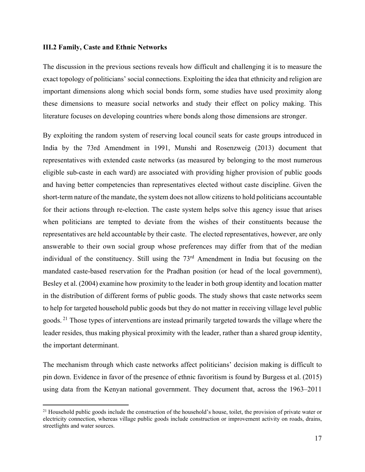#### **III.2 Family, Caste and Ethnic Networks**

The discussion in the previous sections reveals how difficult and challenging it is to measure the exact topology of politicians' social connections. Exploiting the idea that ethnicity and religion are important dimensions along which social bonds form, some studies have used proximity along these dimensions to measure social networks and study their effect on policy making. This literature focuses on developing countries where bonds along those dimensions are stronger.

By exploiting the random system of reserving local council seats for caste groups introduced in India by the 73rd Amendment in 1991, Munshi and Rosenzweig (2013) document that representatives with extended caste networks (as measured by belonging to the most numerous eligible sub-caste in each ward) are associated with providing higher provision of public goods and having better competencies than representatives elected without caste discipline. Given the short-term nature of the mandate, the system does not allow citizens to hold politicians accountable for their actions through re-election. The caste system helps solve this agency issue that arises when politicians are tempted to deviate from the wishes of their constituents because the representatives are held accountable by their caste. The elected representatives, however, are only answerable to their own social group whose preferences may differ from that of the median individual of the constituency. Still using the 73<sup>rd</sup> Amendment in India but focusing on the mandated caste-based reservation for the Pradhan position (or head of the local government), Besley et al. (2004) examine how proximity to the leader in both group identity and location matter in the distribution of different forms of public goods. The study shows that caste networks seem to help for targeted household public goods but they do not matter in receiving village level public goods. <sup>21</sup> Those types of interventions are instead primarily targeted towards the village where the leader resides, thus making physical proximity with the leader, rather than a shared group identity, the important determinant.

The mechanism through which caste networks affect politicians' decision making is difficult to pin down. Evidence in favor of the presence of ethnic favoritism is found by Burgess et al. (2015) using data from the Kenyan national government. They document that, across the 1963–2011

<sup>&</sup>lt;sup>21</sup> Household public goods include the construction of the household's house, toilet, the provision of private water or electricity connection, whereas village public goods include construction or improvement activity on roads, drains, streetlights and water sources.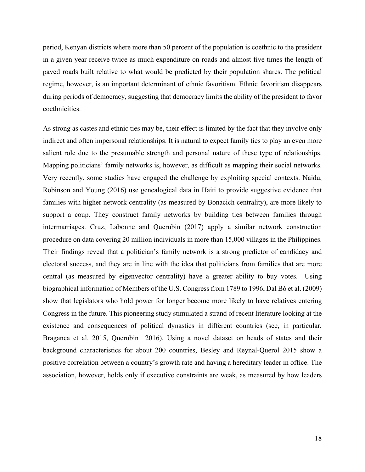period, Kenyan districts where more than 50 percent of the population is coethnic to the president in a given year receive twice as much expenditure on roads and almost five times the length of paved roads built relative to what would be predicted by their population shares. The political regime, however, is an important determinant of ethnic favoritism. Ethnic favoritism disappears during periods of democracy, suggesting that democracy limits the ability of the president to favor coethnicities.

As strong as castes and ethnic ties may be, their effect is limited by the fact that they involve only indirect and often impersonal relationships. It is natural to expect family ties to play an even more salient role due to the presumable strength and personal nature of these type of relationships. Mapping politicians' family networks is, however, as difficult as mapping their social networks. Very recently, some studies have engaged the challenge by exploiting special contexts. Naidu, Robinson and Young (2016) use genealogical data in Haiti to provide suggestive evidence that families with higher network centrality (as measured by Bonacich centrality), are more likely to support a coup. They construct family networks by building ties between families through intermarriages. Cruz, Labonne and Querubin (2017) apply a similar network construction procedure on data covering 20 million individuals in more than 15,000 villages in the Philippines. Their findings reveal that a politician's family network is a strong predictor of candidacy and electoral success, and they are in line with the idea that politicians from families that are more central (as measured by eigenvector centrality) have a greater ability to buy votes. Using biographical information of Members of the U.S. Congress from 1789 to 1996, Dal Bò et al. (2009) show that legislators who hold power for longer become more likely to have relatives entering Congress in the future. This pioneering study stimulated a strand of recent literature looking at the existence and consequences of political dynasties in different countries (see, in particular, Braganca et al. 2015, Querubin 2016). Using a novel dataset on heads of states and their background characteristics for about 200 countries, Besley and Reynal-Querol 2015 show a positive correlation between a country's growth rate and having a hereditary leader in office. The association, however, holds only if executive constraints are weak, as measured by how leaders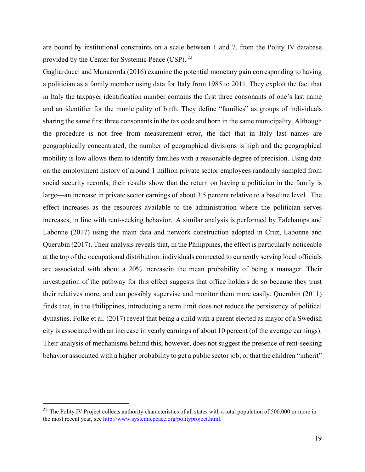are bound by institutional constraints on a scale between 1 and 7, from the Polity IV database provided by the Center for Systemic Peace (CSP). <sup>22</sup>

Gagliarducci and Manacorda (2016) examine the potential monetary gain corresponding to having a politician as a family member using data for Italy from 1985 to 2011. They exploit the fact that in Italy the taxpayer identification number contains the first three consonants of one's last name and an identifier for the municipality of birth. They define "families" as groups of individuals sharing the same first three consonants in the tax code and born in the same municipality. Although the procedure is not free from measurement error, the fact that in Italy last names are geographically concentrated, the number of geographical divisions is high and the geographical mobility is low allows them to identify families with a reasonable degree of precision. Using data on the employment history of around 1 million private sector employees randomly sampled from social security records, their results show that the return on having a politician in the family is large—an increase in private sector earnings of about 3.5 percent relative to a baseline level. The effect increases as the resources available to the administration where the politician serves increases, in line with rent-seeking behavior. A similar analysis is performed by Fafchamps and Labonne (2017) using the main data and network construction adopted in Cruz, Labonne and Querubin (2017). Their analysis reveals that, in the Philippines, the effect is particularly noticeable at the top of the occupational distribution: individuals connected to currently serving local officials are associated with about a 20% increasein the mean probability of being a manager. Their investigation of the pathway for this effect suggests that office holders do so because they trust their relatives more, and can possibly supervise and monitor them more easily. Querubin (2011) finds that, in the Philippines, introducing a term limit does not reduce the persistency of political dynasties. Folke et al. (2017) reveal that being a child with a parent elected as mayor of a Swedish city is associated with an increase in yearly earnings of about 10 percent (of the average earnings). Their analysis of mechanisms behind this, however, does not suggest the presence of rent-seeking behavior associated with a higher probability to get a public sector job; or that the children "inherit"

 $22$  The Polity IV Project collects authority characteristics of all states with a total population of 500,000 or more in the most recent year, see http://www.systemicpeace.org/polityproject.html.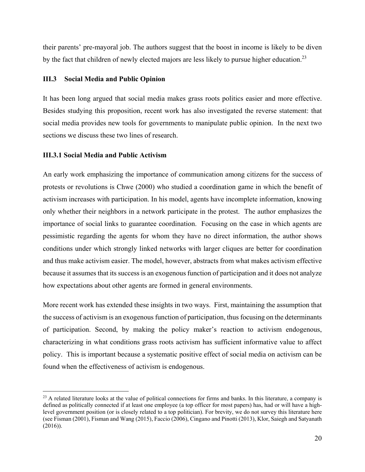their parents' pre-mayoral job. The authors suggest that the boost in income is likely to be diven by the fact that children of newly elected majors are less likely to pursue higher education.<sup>23</sup>

# **III.3 Social Media and Public Opinion**

It has been long argued that social media makes grass roots politics easier and more effective. Besides studying this proposition, recent work has also investigated the reverse statement: that social media provides new tools for governments to manipulate public opinion. In the next two sections we discuss these two lines of research.

# **III.3.1 Social Media and Public Activism**

An early work emphasizing the importance of communication among citizens for the success of protests or revolutions is Chwe (2000) who studied a coordination game in which the benefit of activism increases with participation. In his model, agents have incomplete information, knowing only whether their neighbors in a network participate in the protest. The author emphasizes the importance of social links to guarantee coordination. Focusing on the case in which agents are pessimistic regarding the agents for whom they have no direct information, the author shows conditions under which strongly linked networks with larger cliques are better for coordination and thus make activism easier. The model, however, abstracts from what makes activism effective because it assumes that its success is an exogenous function of participation and it does not analyze how expectations about other agents are formed in general environments.

More recent work has extended these insights in two ways. First, maintaining the assumption that the success of activism is an exogenous function of participation, thus focusing on the determinants of participation. Second, by making the policy maker's reaction to activism endogenous, characterizing in what conditions grass roots activism has sufficient informative value to affect policy. This is important because a systematic positive effect of social media on activism can be found when the effectiveness of activism is endogenous.

 $23$  A related literature looks at the value of political connections for firms and banks. In this literature, a company is defined as politically connected if at least one employee (a top officer for most papers) has, had or will have a highlevel government position (or is closely related to a top politician). For brevity, we do not survey this literature here (see Fisman (2001), Fisman and Wang (2015), Faccio (2006), Cingano and Pinotti (2013), Klor, Saiegh and Satyanath (2016)).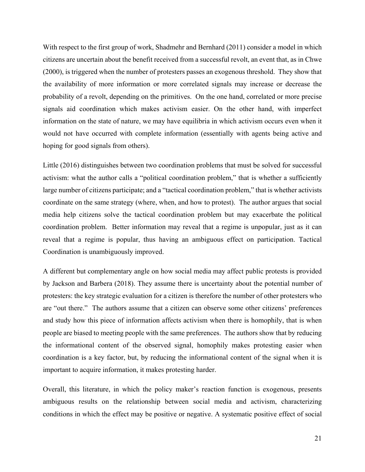With respect to the first group of work, Shadmehr and Bernhard (2011) consider a model in which citizens are uncertain about the benefit received from a successful revolt, an event that, as in Chwe (2000), is triggered when the number of protesters passes an exogenous threshold. They show that the availability of more information or more correlated signals may increase or decrease the probability of a revolt, depending on the primitives. On the one hand, correlated or more precise signals aid coordination which makes activism easier. On the other hand, with imperfect information on the state of nature, we may have equilibria in which activism occurs even when it would not have occurred with complete information (essentially with agents being active and hoping for good signals from others).

Little (2016) distinguishes between two coordination problems that must be solved for successful activism: what the author calls a "political coordination problem," that is whether a sufficiently large number of citizens participate; and a "tactical coordination problem," that is whether activists coordinate on the same strategy (where, when, and how to protest). The author argues that social media help citizens solve the tactical coordination problem but may exacerbate the political coordination problem. Better information may reveal that a regime is unpopular, just as it can reveal that a regime is popular, thus having an ambiguous effect on participation. Tactical Coordination is unambiguously improved.

A different but complementary angle on how social media may affect public protests is provided by Jackson and Barbera (2018). They assume there is uncertainty about the potential number of protesters: the key strategic evaluation for a citizen is therefore the number of other protesters who are "out there." The authors assume that a citizen can observe some other citizens' preferences and study how this piece of information affects activism when there is homophily, that is when people are biased to meeting people with the same preferences. The authors show that by reducing the informational content of the observed signal, homophily makes protesting easier when coordination is a key factor, but, by reducing the informational content of the signal when it is important to acquire information, it makes protesting harder.

Overall, this literature, in which the policy maker's reaction function is exogenous, presents ambiguous results on the relationship between social media and activism, characterizing conditions in which the effect may be positive or negative. A systematic positive effect of social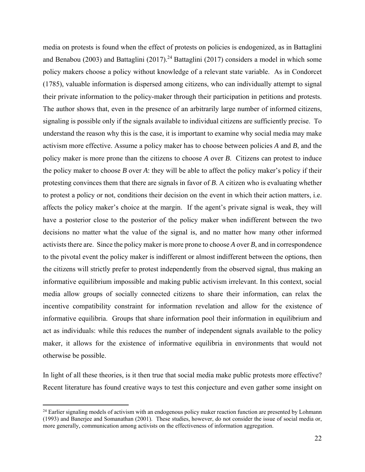media on protests is found when the effect of protests on policies is endogenized, as in Battaglini and Benabou (2003) and Battaglini (2017).<sup>24</sup> Battaglini (2017) considers a model in which some policy makers choose a policy without knowledge of a relevant state variable. As in Condorcet (1785), valuable information is dispersed among citizens, who can individually attempt to signal their private information to the policy-maker through their participation in petitions and protests. The author shows that, even in the presence of an arbitrarily large number of informed citizens, signaling is possible only if the signals available to individual citizens are sufficiently precise. To understand the reason why this is the case, it is important to examine why social media may make activism more effective. Assume a policy maker has to choose between policies *A* and *B*, and the policy maker is more prone than the citizens to choose *A* over *B*. Citizens can protest to induce the policy maker to choose *B* over *A*: they will be able to affect the policy maker's policy if their protesting convinces them that there are signals in favor of *B*. A citizen who is evaluating whether to protest a policy or not, conditions their decision on the event in which their action matters, i.e. affects the policy maker's choice at the margin. If the agent's private signal is weak, they will have a posterior close to the posterior of the policy maker when indifferent between the two decisions no matter what the value of the signal is, and no matter how many other informed activists there are. Since the policy maker is more prone to choose *A* over *B*, and in correspondence to the pivotal event the policy maker is indifferent or almost indifferent between the options, then the citizens will strictly prefer to protest independently from the observed signal, thus making an informative equilibrium impossible and making public activism irrelevant. In this context, social media allow groups of socially connected citizens to share their information, can relax the incentive compatibility constraint for information revelation and allow for the existence of informative equilibria. Groups that share information pool their information in equilibrium and act as individuals: while this reduces the number of independent signals available to the policy maker, it allows for the existence of informative equilibria in environments that would not otherwise be possible.

In light of all these theories, is it then true that social media make public protests more effective? Recent literature has found creative ways to test this conjecture and even gather some insight on

<sup>&</sup>lt;sup>24</sup> Earlier signaling models of activism with an endogenous policy maker reaction function are presented by Lohmann (1993) and Banerjee and Somanathan (2001). These studies, however, do not consider the issue of social media or, more generally, communication among activists on the effectiveness of information aggregation.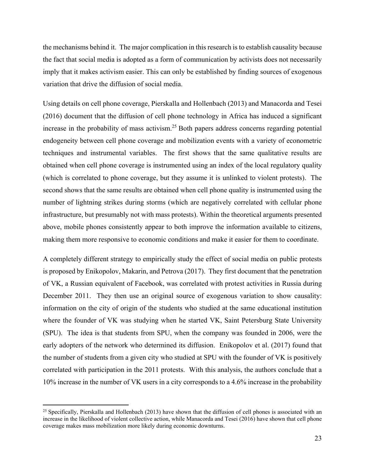the mechanisms behind it. The major complication in this research is to establish causality because the fact that social media is adopted as a form of communication by activists does not necessarily imply that it makes activism easier. This can only be established by finding sources of exogenous variation that drive the diffusion of social media.

Using details on cell phone coverage, Pierskalla and Hollenbach (2013) and Manacorda and Tesei (2016) document that the diffusion of cell phone technology in Africa has induced a significant increase in the probability of mass activism.<sup>25</sup> Both papers address concerns regarding potential endogeneity between cell phone coverage and mobilization events with a variety of econometric techniques and instrumental variables. The first shows that the same qualitative results are obtained when cell phone coverage is instrumented using an index of the local regulatory quality (which is correlated to phone coverage, but they assume it is unlinked to violent protests). The second shows that the same results are obtained when cell phone quality is instrumented using the number of lightning strikes during storms (which are negatively correlated with cellular phone infrastructure, but presumably not with mass protests). Within the theoretical arguments presented above, mobile phones consistently appear to both improve the information available to citizens, making them more responsive to economic conditions and make it easier for them to coordinate.

A completely different strategy to empirically study the effect of social media on public protests is proposed by Enikopolov, Makarin, and Petrova (2017). They first document that the penetration of VK, a Russian equivalent of Facebook, was correlated with protest activities in Russia during December 2011. They then use an original source of exogenous variation to show causality: information on the city of origin of the students who studied at the same educational institution where the founder of VK was studying when he started VK, Saint Petersburg State University (SPU). The idea is that students from SPU, when the company was founded in 2006, were the early adopters of the network who determined its diffusion. Enikopolov et al. (2017) found that the number of students from a given city who studied at SPU with the founder of VK is positively correlated with participation in the 2011 protests. With this analysis, the authors conclude that a 10% increase in the number of VK users in a city corresponds to a 4.6% increase in the probability

 $25$  Specifically, Pierskalla and Hollenbach (2013) have shown that the diffusion of cell phones is associated with an increase in the likelihood of violent collective action, while Manacorda and Tesei (2016) have shown that cell phone coverage makes mass mobilization more likely during economic downturns.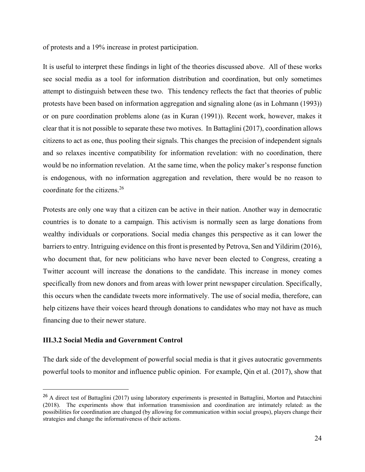of protests and a 19% increase in protest participation.

It is useful to interpret these findings in light of the theories discussed above. All of these works see social media as a tool for information distribution and coordination, but only sometimes attempt to distinguish between these two. This tendency reflects the fact that theories of public protests have been based on information aggregation and signaling alone (as in Lohmann (1993)) or on pure coordination problems alone (as in Kuran (1991)). Recent work, however, makes it clear that it is not possible to separate these two motives. In Battaglini (2017), coordination allows citizens to act as one, thus pooling their signals. This changes the precision of independent signals and so relaxes incentive compatibility for information revelation: with no coordination, there would be no information revelation. At the same time, when the policy maker's response function is endogenous, with no information aggregation and revelation, there would be no reason to coordinate for the citizens.26

Protests are only one way that a citizen can be active in their nation. Another way in democratic countries is to donate to a campaign. This activism is normally seen as large donations from wealthy individuals or corporations. Social media changes this perspective as it can lower the barriers to entry. Intriguing evidence on this front is presented by Petrova, Sen and Yildirim (2016), who document that, for new politicians who have never been elected to Congress, creating a Twitter account will increase the donations to the candidate. This increase in money comes specifically from new donors and from areas with lower print newspaper circulation. Specifically, this occurs when the candidate tweets more informatively. The use of social media, therefore, can help citizens have their voices heard through donations to candidates who may not have as much financing due to their newer stature.

#### **III.3.2 Social Media and Government Control**

The dark side of the development of powerful social media is that it gives autocratic governments powerful tools to monitor and influence public opinion. For example, Qin et al. (2017), show that

<sup>&</sup>lt;sup>26</sup> A direct test of Battaglini (2017) using laboratory experiments is presented in Battaglini, Morton and Patacchini (2018). The experiments show that information transmission and coordination are intimately related: as the possibilities for coordination are changed (by allowing for communication within social groups), players change their strategies and change the informativeness of their actions.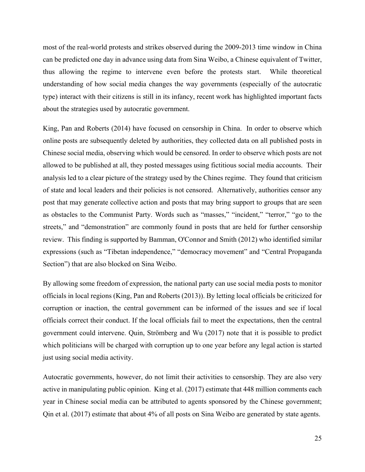most of the real-world protests and strikes observed during the 2009-2013 time window in China can be predicted one day in advance using data from Sina Weibo, a Chinese equivalent of Twitter, thus allowing the regime to intervene even before the protests start. While theoretical understanding of how social media changes the way governments (especially of the autocratic type) interact with their citizens is still in its infancy, recent work has highlighted important facts about the strategies used by autocratic government.

King, Pan and Roberts (2014) have focused on censorship in China. In order to observe which online posts are subsequently deleted by authorities, they collected data on all published posts in Chinese social media, observing which would be censored. In order to observe which posts are not allowed to be published at all, they posted messages using fictitious social media accounts. Their analysis led to a clear picture of the strategy used by the Chines regime. They found that criticism of state and local leaders and their policies is not censored. Alternatively, authorities censor any post that may generate collective action and posts that may bring support to groups that are seen as obstacles to the Communist Party. Words such as "masses," "incident," "terror," "go to the streets," and "demonstration" are commonly found in posts that are held for further censorship review. This finding is supported by Bamman, O'Connor and Smith (2012) who identified similar expressions (such as "Tibetan independence," "democracy movement" and "Central Propaganda Section") that are also blocked on Sina Weibo.

By allowing some freedom of expression, the national party can use social media posts to monitor officials in local regions (King, Pan and Roberts (2013)). By letting local officials be criticized for corruption or inaction, the central government can be informed of the issues and see if local officials correct their conduct. If the local officials fail to meet the expectations, then the central government could intervene. Quin, Strömberg and Wu (2017) note that it is possible to predict which politicians will be charged with corruption up to one year before any legal action is started just using social media activity.

Autocratic governments, however, do not limit their activities to censorship. They are also very active in manipulating public opinion. King et al. (2017) estimate that 448 million comments each year in Chinese social media can be attributed to agents sponsored by the Chinese government; Qin et al. (2017) estimate that about 4% of all posts on Sina Weibo are generated by state agents.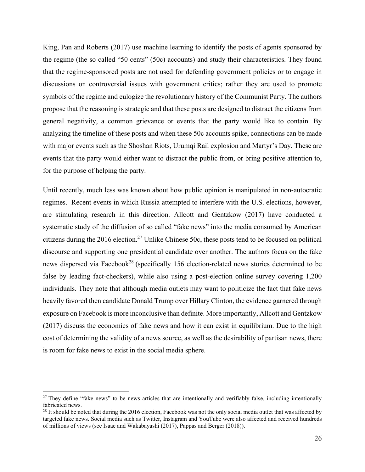King, Pan and Roberts (2017) use machine learning to identify the posts of agents sponsored by the regime (the so called "50 cents" (50c) accounts) and study their characteristics. They found that the regime-sponsored posts are not used for defending government policies or to engage in discussions on controversial issues with government critics; rather they are used to promote symbols of the regime and eulogize the revolutionary history of the Communist Party. The authors propose that the reasoning is strategic and that these posts are designed to distract the citizens from general negativity, a common grievance or events that the party would like to contain. By analyzing the timeline of these posts and when these 50c accounts spike, connections can be made with major events such as the Shoshan Riots, Urumqi Rail explosion and Martyr's Day. These are events that the party would either want to distract the public from, or bring positive attention to, for the purpose of helping the party.

Until recently, much less was known about how public opinion is manipulated in non-autocratic regimes. Recent events in which Russia attempted to interfere with the U.S. elections, however, are stimulating research in this direction. Allcott and Gentzkow (2017) have conducted a systematic study of the diffusion of so called "fake news" into the media consumed by American citizens during the 2016 election.<sup>27</sup> Unlike Chinese 50c, these posts tend to be focused on political discourse and supporting one presidential candidate over another. The authors focus on the fake news dispersed via Facebook<sup>28</sup> (specifically 156 election-related news stories determined to be false by leading fact-checkers), while also using a post-election online survey covering 1,200 individuals. They note that although media outlets may want to politicize the fact that fake news heavily favored then candidate Donald Trump over Hillary Clinton, the evidence garnered through exposure on Facebook is more inconclusive than definite. More importantly, Allcott and Gentzkow (2017) discuss the economics of fake news and how it can exist in equilibrium. Due to the high cost of determining the validity of a news source, as well as the desirability of partisan news, there is room for fake news to exist in the social media sphere.

 $27$  They define "fake news" to be news articles that are intentionally and verifiably false, including intentionally fabricated news.

 $28$  It should be noted that during the 2016 election, Facebook was not the only social media outlet that was affected by targeted fake news. Social media such as Twitter, Instagram and YouTube were also affected and received hundreds of millions of views (see Isaac and Wakabayashi (2017), Pappas and Berger (2018)).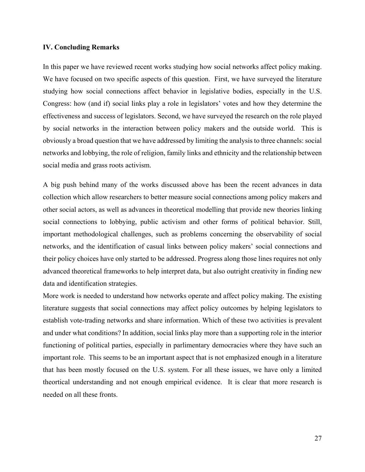#### **IV. Concluding Remarks**

In this paper we have reviewed recent works studying how social networks affect policy making. We have focused on two specific aspects of this question. First, we have surveyed the literature studying how social connections affect behavior in legislative bodies, especially in the U.S. Congress: how (and if) social links play a role in legislators' votes and how they determine the effectiveness and success of legislators. Second, we have surveyed the research on the role played by social networks in the interaction between policy makers and the outside world. This is obviously a broad question that we have addressed by limiting the analysis to three channels: social networks and lobbying, the role of religion, family links and ethnicity and the relationship between social media and grass roots activism.

A big push behind many of the works discussed above has been the recent advances in data collection which allow researchers to better measure social connections among policy makers and other social actors, as well as advances in theoretical modelling that provide new theories linking social connections to lobbying, public activism and other forms of political behavior. Still, important methodological challenges, such as problems concerning the observability of social networks, and the identification of casual links between policy makers' social connections and their policy choices have only started to be addressed. Progress along those lines requires not only advanced theoretical frameworks to help interpret data, but also outright creativity in finding new data and identification strategies.

More work is needed to understand how networks operate and affect policy making. The existing literature suggests that social connections may affect policy outcomes by helping legislators to establish vote-trading networks and share information. Which of these two activities is prevalent and under what conditions? In addition, social links play more than a supporting role in the interior functioning of political parties, especially in parlimentary democracies where they have such an important role. This seems to be an important aspect that is not emphasized enough in a literature that has been mostly focused on the U.S. system. For all these issues, we have only a limited theortical understanding and not enough empirical evidence. It is clear that more research is needed on all these fronts.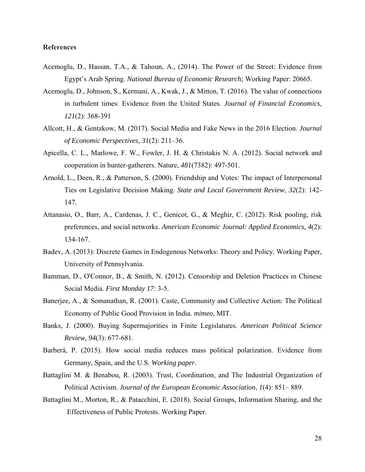# **References**

- Acemoglu, D., Hassan, T.A., & Tahoun, A., (2014). The Power of the Street: Evidence from Egypt's Arab Spring. *National Bureau of Economic Research;* Working Paper: 20665.
- Acemoglu, D., Johnson, S., Kermani, A., Kwak, J., & Mitton, T. (2016). The value of connections in turbulent times: Evidence from the United States. *Journal of Financial Economics, 121*(2): 368-391
- Allcott, H., & Gentzkow, M. (2017). Social Media and Fake News in the 2016 Election. *Journal of Economic Perspectives, 31*(2): 211–36.
- Apicella, C. L., Marlowe, F. W., Fowler, J. H. & Christakis N. A. (2012). Social network and cooperation in hunter-gatherers. Nature, *481*(7382): 497-501.
- Arnold, L., Deen, R., & Patterson, S. (2000). Friendship and Votes: The impact of Interpersonal Ties on Legislative Decision Making. *State and Local Government Review*, *32*(2): 142- 147.
- Attanasio, O., Barr, A., Cardenas, J. C., Genicot, G., & Meghir, C. (2012). Risk pooling, risk preferences, and social networks. *American Economic Journal: Applied Economics, 4*(2): 134-167.
- Badev, A. (2013): Discrete Games in Endogenous Networks: Theory and Policy. Working Paper, University of Pennsylvania.
- Bamman, D., O'Connor, B., & Smith, N. (2012). Censorship and Deletion Practices in Chinese Social Media. *First Monday 17*: 3-5.
- Banerjee, A., & Somanathan, R. (2001). Caste, Community and Collective Action: The Political Economy of Public Good Provision in India. *mimeo*, MIT.
- Banks, J. (2000). Buying Supermajorities in Finite Legislatures. *American Political Science Review, 94*(3): 677-681.
- Barberá, P. (2015). How social media reduces mass political polarization. Evidence from Germany, Spain, and the U.S. *Working paper*.
- Battaglini M. & Benabou, R. (2003). Trust, Coordination, and The Industrial Organization of Political Activism. *Journal of the European Economic Association*, *1*(4): 851– 889.
- Battaglini M., Morton, R., & Patacchini, E. (2018). Social Groups, Information Sharing, and the Effectiveness of Public Protests. Working Paper.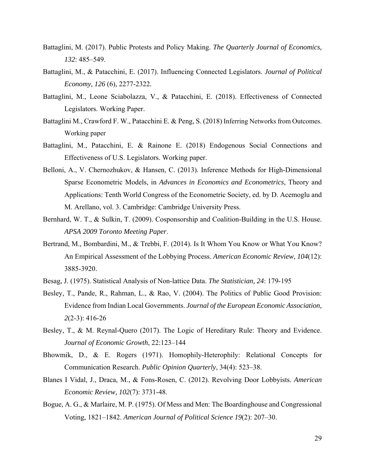- Battaglini, M. (2017). Public Protests and Policy Making. *The Quarterly Journal of Economics, 132*: 485–549.
- Battaglini, M., & Patacchini, E. (2017). Influencing Connected Legislators. *Journal of Political Economy, 126* (6), 2277-2322*.*
- Battaglini, M., Leone Sciabolazza, V., & Patacchini, E. (2018). Effectiveness of Connected Legislators. Working Paper.
- Battaglini M., Crawford F. W., Patacchini E. & Peng, S. (2018) Inferring Networks from Outcomes. Working paper
- Battaglini, M., Patacchini, E. & Rainone E. (2018) Endogenous Social Connections and Effectiveness of U.S. Legislators. Working paper.
- Belloni, A., V. Chernozhukov, & Hansen, C. (2013). Inference Methods for High-Dimensional Sparse Econometric Models, in *Advances in Economics and Econometrics*, Theory and Applications: Tenth World Congress of the Econometric Society, ed. by D. Acemoglu and M. Arellano, vol. 3. Cambridge: Cambridge University Press.
- Bernhard, W. T., & Sulkin, T. (2009). Cosponsorship and Coalition-Building in the U.S. House. *APSA 2009 Toronto Meeting Paper*.
- Bertrand, M., Bombardini, M., & Trebbi, F. (2014). Is It Whom You Know or What You Know? An Empirical Assessment of the Lobbying Process. *American Economic Review*, *104*(12): 3885-3920.
- Besag, J. (1975). Statistical Analysis of Non-lattice Data. *The Statistician, 24*: 179-195
- Besley, T., Pande, R., Rahman, L., & Rao, V. (2004). The Politics of Public Good Provision: Evidence from Indian Local Governments. *Journal of the European Economic Association, 2*(2-3): 416-26
- Besley, T., & M. Reynal-Quero (2017). The Logic of Hereditary Rule: Theory and Evidence. *Journal of Economic Growth*, 22:123–144
- Bhowmik, D., & E. Rogers (1971). Homophily-Heterophily: Relational Concepts for Communication Research. *Public Opinion Quarterly*, 34(4): 523–38.
- Blanes I Vidal, J., Draca, M., & Fons-Rosen, C. (2012). Revolving Door Lobbyists. *American Economic Review, 102*(7): 3731-48.
- Bogue, A. G., & Marlaire, M. P. (1975). Of Mess and Men: The Boardinghouse and Congressional Voting, 1821–1842. *American Journal of Political Science 19*(2): 207–30.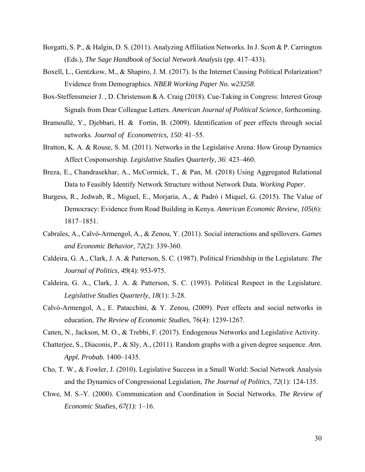- Borgatti, S. P., & Halgin, D. S. (2011). Analyzing Affiliation Networks. In J. Scott & P. Carrington (Eds.), *The Sage Handbook of Social Network Analysis* (pp. 417–433).
- Boxell, L., Gentzkow, M., & Shapiro, J. M. (2017). Is the Internet Causing Political Polarization? Evidence from Demographics. *NBER Working Paper No. w23258*.
- Box-Steffensmeier J. , D. Christenson & A. Craig (2018). Cue-Taking in Congress: Interest Group Signals from Dear Colleague Letters. *American Journal of Political Science*, forthcoming.
- Bramoullé, Y., Djebbari, H. & Fortin, B. (2009). Identification of peer effects through social networks. *Journal of Econometrics, 150*: 41–55.
- Bratton, K. A. & Rouse, S. M. (2011). Networks in the Legislative Arena: How Group Dynamics Affect Cosponsorship. *Legislative Studies Quarterly, 36*: 423–460.
- Breza, E., Chandrasekhar, A., McCormick, T., & Pan, M. (2018) Using Aggregated Relational Data to Feasibly Identify Network Structure without Network Data. *Working Paper*.
- Burgess, R., Jedwab, R., Miguel, E., Morjaria, A., & Padró i Miquel, G. (2015). The Value of Democracy: Evidence from Road Building in Kenya. *American Economic Review, 105*(6): 1817–1851.
- Cabrales, A., Calvó-Armengol, A., & Zenou, Y. (2011). Social interactions and spillovers. *Games and Economic Behavior, 72*(2): 339-360.
- Caldeira, G. A., Clark, J. A. & Patterson, S. C. (1987). Political Friendship in the Legislature. *The Journal of Politics, 49*(4): 953-975.
- Caldeira, G. A., Clark, J. A. & Patterson, S. C. (1993). Political Respect in the Legislature. *Legislative Studies Quarterly, 18*(1): 3-28.
- Calvó-Armengol, A., E. Patacchini, & Y. Zenou, (2009). Peer effects and social networks in education, *The Review of Economic Studies*, 76(4): 1239-1267.
- Canen, N., Jackson, M. O., & Trebbi, F. (2017). Endogenous Networks and Legislative Activity.
- Chatterjee, S., Diaconis, P., & Sly, A., (2011). Random graphs with a given degree sequence. *Ann. Appl. Probab.* 1400–1435.
- Cho, T. W., & Fowler, J. (2010). Legislative Success in a Small World: Social Network Analysis and the Dynamics of Congressional Legislation, *The Journal of Politics, 72*(1): 124-135.
- Chwe, M. S.-Y. (2000). Communication and Coordination in Social Networks. *The Review of Economic Studies, 67(1):* 1–16.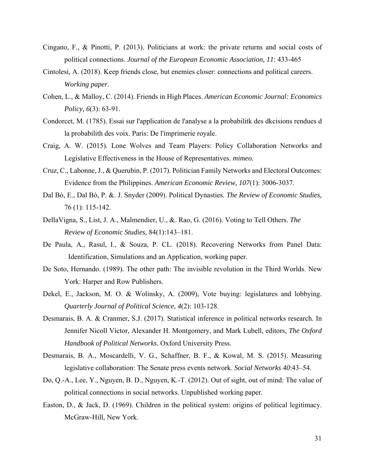- Cingano, F., & Pinotti, P. (2013). Politicians at work: the private returns and social costs of political connections. *Journal of the European Economic Association, 11*: 433-465
- Cintolesi, A. (2018). Keep friends close, but enemies closer: connections and political careers. *Working paper.*
- Cohen, L., & Malloy, C. (2014). Friends in High Places. *American Economic Journal: Economics Policy, 6*(3): 63-91.
- Condorcet, M. (1785). Essai sur l'application de l'analyse a la probabilitk des dkcisions rendues d la probabilith des voix. Paris: De l'imprimerie royale.
- Craig, A. W. (2015). Lone Wolves and Team Players: Policy Collaboration Networks and Legislative Effectiveness in the House of Representatives. *mimeo.*
- Cruz, C., Labonne, J., & Querubin, P. (2017). Politician Family Networks and Electoral Outcomes: Evidence from the Philippines. *American Economic Review, 107*(1): 3006-3037.
- Dal Bò, E., Dal Bò, P. &. J. Snyder (2009). Political Dynasties. *The Review of Economic Studies,*  76 (1): 115-142.
- DellaVigna, S., List, J. A., Malmendier, U., &. Rao, G. (2016). Voting to Tell Others. *The Review of Economic Studies*, 84(1):143–181.
- De Paula, A., Rasul, I., & Souza, P. CL. (2018). Recovering Networks from Panel Data: Identification, Simulations and an Application, working paper.
- De Soto, Hernando. (1989). The other path: The invisible revolution in the Third Worlds. New York: Harper and Row Publishers.
- Dekel, E., Jackson, M. O. & Wolinsky, A. (2009), Vote buying: legislatures and lobbying. *Quarterly Journal of Political Science, 4*(2): 103-128.
- Desmarais, B. A. & Cranmer, S.J. (2017). Statistical inference in political networks research. In Jennifer Nicoll Victor, Alexander H. Montgomery, and Mark Lubell, editors, *The Oxford Handbook of Political Networks*. Oxford University Press.
- Desmarais, B. A., Moscardelli, V. G., Schaffner, B. F., & Kowal, M. S. (2015). Measuring legislative collaboration: The Senate press events network. *Social Networks 40*:43–54.
- Do, Q.-A., Lee, Y., Nguyen, B. D., Nguyen, K.-T. (2012). Out of sight, out of mind: The value of political connections in social networks. Unpublished working paper.
- Easton, D., & Jack, D. (1969). Children in the political system: origins of political legitimacy. McGraw-Hill, New York.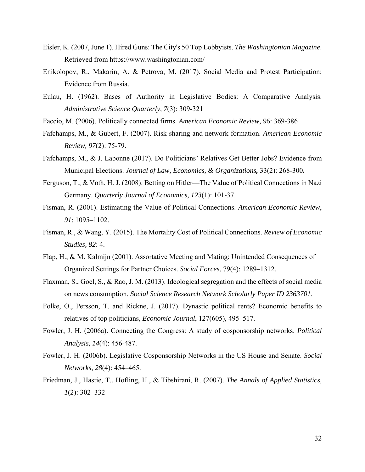- Eisler, K. (2007, June 1). Hired Guns: The City's 50 Top Lobbyists. *The Washingtonian Magazine*. Retrieved from https://www.washingtonian.com/
- Enikolopov, R., Makarin, A. & Petrova, M. (2017). Social Media and Protest Participation: Evidence from Russia.
- Eulau, H. (1962). Bases of Authority in Legislative Bodies: A Comparative Analysis. *Administrative Science Quarterly, 7*(3): 309-321
- Faccio, M. (2006). Politically connected firms. *American Economic Review, 96*: 369-386
- Fafchamps, M., & Gubert, F. (2007). Risk sharing and network formation. *American Economic Review, 97*(2): 75-79.
- Fafchamps, M., & J. Labonne (2017). Do Politicians' Relatives Get Better Jobs? Evidence from Municipal Elections. *Journal of Law, Economics, & Organizations,* 33(2): 268-300*.*
- Ferguson, T., & Voth, H. J. (2008). Betting on Hitler—The Value of Political Connections in Nazi Germany. *Quarterly Journal of Economics, 123*(1): 101-37.
- Fisman, R. (2001). Estimating the Value of Political Connections. *American Economic Review*, *91*: 1095–1102.
- Fisman, R., & Wang, Y. (2015). The Mortality Cost of Political Connections. *Review of Economic Studies, 82*: 4.
- Flap, H., & M. Kalmijn (2001). Assortative Meeting and Mating: Unintended Consequences of Organized Settings for Partner Choices. *Social Forces*, 79(4): 1289–1312.
- Flaxman, S., Goel, S., & Rao, J. M. (2013). Ideological segregation and the effects of social media on news consumption. *Social Science Research Network Scholarly Paper ID 2363701*.
- Folke, O., Persson, T. and Rickne, J. (2017). Dynastic political rents? Economic benefits to relatives of top politicians, *Economic Journal*, 127(605), 495–517.
- Fowler, J. H. (2006a). Connecting the Congress: A study of cosponsorship networks. *Political Analysis, 14*(4): 456-487.
- Fowler, J. H. (2006b). Legislative Cosponsorship Networks in the US House and Senate. *Social Networks, 28*(4): 454–465.
- Friedman, J., Hastie, T., Hofling, H., & Tibshirani, R. (2007). *The Annals of Applied Statistics, 1*(2): 302–332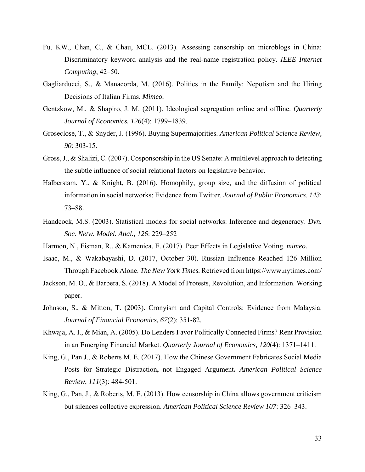- Fu, KW., Chan, C., & Chau, MCL. (2013). Assessing censorship on microblogs in China: Discriminatory keyword analysis and the real-name registration policy. *IEEE Internet Computing*, 42–50.
- Gagliarducci, S., & Manacorda, M. (2016). Politics in the Family: Nepotism and the Hiring Decisions of Italian Firms. *Mimeo.*
- Gentzkow, M., & Shapiro, J. M. (2011). Ideological segregation online and offline. *Quarterly Journal of Economics. 126*(4): 1799–1839.
- Groseclose, T., & Snyder, J. (1996). Buying Supermajorities. *American Political Science Review, 90*: 303-15.
- Gross, J., & Shalizi, C. (2007). Cosponsorship in the US Senate: A multilevel approach to detecting the subtle influence of social relational factors on legislative behavior.
- Halberstam, Y., & Knight, B. (2016). Homophily, group size, and the diffusion of political information in social networks: Evidence from Twitter. *Journal of Public Economics*. *143*: 73–88.
- Handcock, M.S. (2003). Statistical models for social networks: Inference and degeneracy. *Dyn. Soc. Netw. Model. Anal., 126*: 229–252
- Harmon, N., Fisman, R., & Kamenica, E. (2017). Peer Effects in Legislative Voting. *mimeo.*
- Isaac, M., & Wakabayashi, D. (2017, October 30). Russian Influence Reached 126 Million Through Facebook Alone. *The New York Times.* Retrieved from https://www.nytimes.com/
- Jackson, M. O., & Barbera, S. (2018). A Model of Protests, Revolution, and Information. Working paper.
- Johnson, S., & Mitton, T. (2003). Cronyism and Capital Controls: Evidence from Malaysia. *Journal of Financial Economics, 67*(2): 351-82.
- Khwaja, A. I., & Mian, A. (2005). Do Lenders Favor Politically Connected Firms? Rent Provision in an Emerging Financial Market. *Quarterly Journal of Economics, 120*(4): 1371–1411.
- King, G., Pan J., & Roberts M. E. (2017). How the Chinese Government Fabricates Social Media Posts for Strategic Distraction**,** not Engaged Argument**.** *American Political Science Review*, *111*(3): 484-501.
- King, G., Pan, J., & Roberts, M. E. (2013). How censorship in China allows government criticism but silences collective expression. *American Political Science Review 107*: 326–343.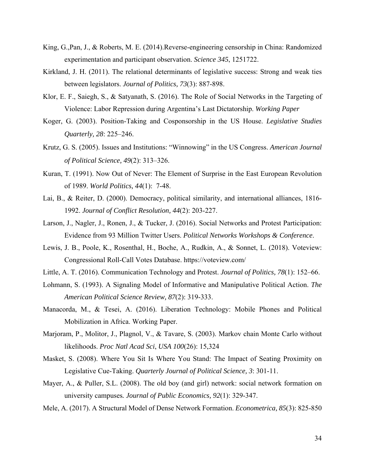- King, G.,Pan, J., & Roberts, M. E. (2014).Reverse-engineering censorship in China: Randomized experimentation and participant observation. *Science 345*, 1251722.
- Kirkland, J. H. (2011). The relational determinants of legislative success: Strong and weak ties between legislators. *Journal of Politics, 73*(3): 887-898.
- Klor, E. F., Saiegh, S., & Satyanath, S. (2016). The Role of Social Networks in the Targeting of Violence: Labor Repression during Argentina's Last Dictatorship. *Working Paper*
- Koger, G. (2003). Position-Taking and Cosponsorship in the US House. *Legislative Studies Quarterly, 28*: 225–246.
- Krutz, G. S. (2005). Issues and Institutions: "Winnowing" in the US Congress. *American Journal of Political Science, 49*(2): 313–326.
- Kuran, T. (1991). Now Out of Never: The Element of Surprise in the East European Revolution of 1989. *World Politics, 44*(1): 7-48.
- Lai, B., & Reiter, D. (2000). Democracy, political similarity, and international alliances, 1816- 1992. *Journal of Conflict Resolution, 44*(2): 203-227.
- Larson, J., Nagler, J., Ronen, J., & Tucker, J. (2016). Social Networks and Protest Participation: Evidence from 93 Million Twitter Users. *Political Networks Workshops & Conference*.
- Lewis, J. B., Poole, K., Rosenthal, H., Boche, A., Rudkin, A., & Sonnet, L. (2018). Voteview: Congressional Roll-Call Votes Database. https://voteview.com/
- Little, A. T. (2016). Communication Technology and Protest. *Journal of Politics, 78*(1): 152–66.
- Lohmann, S. (1993). A Signaling Model of Informative and Manipulative Political Action. *The American Political Science Review, 87*(2): 319-333.
- Manacorda, M., & Tesei, A. (2016). Liberation Technology: Mobile Phones and Political Mobilization in Africa. Working Paper.
- Marjoram, P., Molitor, J., Plagnol, V., & Tavare, S. (2003). Markov chain Monte Carlo without likelihoods. *Proc Natl Acad Sci*, *USA 100*(26): 15,324
- Masket, S. (2008). Where You Sit Is Where You Stand: The Impact of Seating Proximity on Legislative Cue-Taking. *Quarterly Journal of Political Science, 3*: 301-11.
- Mayer, A., & Puller, S.L. (2008). The old boy (and girl) network: social network formation on university campuses*. Journal of Public Economics, 92*(1): 329-347.
- Mele, A. (2017). A Structural Model of Dense Network Formation. *Econometrica, 85*(3): 825-850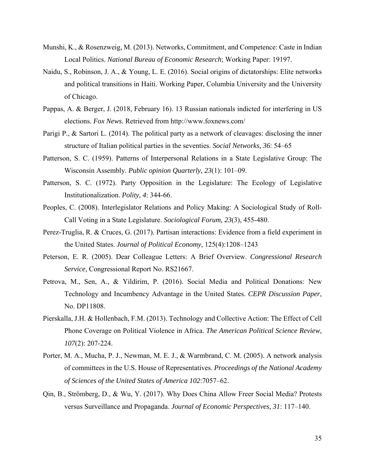- Munshi, K., & Rosenzweig, M. (2013). Networks, Commitment, and Competence: Caste in Indian Local Politics. *National Bureau of Economic Research*; Working Paper: 19197.
- Naidu, S., Robinson, J. A., & Young, L. E. (2016). Social origins of dictatorships: Elite networks and political transitions in Haiti. Working Paper, Columbia University and the University of Chicago.
- Pappas, A. & Berger, J. (2018, February 16). 13 Russian nationals indicted for interfering in US elections. *Fox News.* Retrieved from http://www.foxnews.com/
- Parigi P., & Sartori L. (2014). The political party as a network of cleavages: disclosing the inner structure of Italian political parties in the seventies. *Social Networks, 36*: 54–65
- Patterson, S. C. (1959). Patterns of Interpersonal Relations in a State Legislative Group: The Wisconsin Assembly. *Public opinion Quarterly, 23*(1): 101–09.
- Patterson, S. C. (1972). Party Opposition in the Legislature: The Ecology of Legislative Institutionalization. *Polity, 4*: 344-66.
- Peoples, C. (2008). Interlegislator Relations and Policy Making: A Sociological Study of Roll-Call Voting in a State Legislature. *Sociological Forum, 23*(3), 455-480.
- Perez-Truglia, R. & Cruces, G. (2017). Partisan interactions: Evidence from a field experiment in the United States. *Journal of Political Economy*, 125(4):1208–1243
- Peterson, E. R. (2005). Dear Colleague Letters: A Brief Overview. *Congressional Research Service,* Congressional Report No. RS21667.
- Petrova, M., Sen, A., & Yildirim, P. (2016). Social Media and Political Donations: New Technology and Incumbency Advantage in the United States. *CEPR Discussion Paper*, No. DP11808.
- Pierskalla, J.H. & Hollenbach, F.M. (2013). Technology and Collective Action: The Effect of Cell Phone Coverage on Political Violence in Africa. *The American Political Science Review, 107*(2): 207-224.
- Porter, M. A., Mucha, P. J., Newman, M. E. J., & Warmbrand, C. M. (2005). A network analysis of committees in the U.S. House of Representatives. *Proceedings of the National Academy of Sciences of the United States of America 102*:7057–62.
- Qin, B., Strömberg, D., & Wu, Y. (2017). Why Does China Allow Freer Social Media? Protests versus Surveillance and Propaganda. *Journal of Economic Perspectives, 31*: 117–140.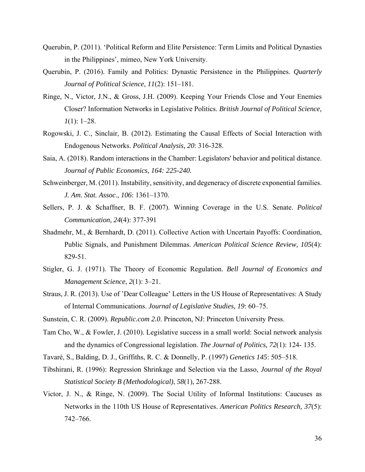- Querubin, P. (2011). 'Political Reform and Elite Persistence: Term Limits and Political Dynasties in the Philippines', mimeo, New York University.
- Querubin, P. (2016). Family and Politics: Dynastic Persistence in the Philippines. *Quarterly Journal of Political Science*, *11*(2): 151–181.
- Ringe, N., Victor, J.N., & Gross, J.H. (2009). Keeping Your Friends Close and Your Enemies Closer? Information Networks in Legislative Politics. *British Journal of Political Science, 1*(1): 1–28.
- Rogowski, J. C., Sinclair, B. (2012). Estimating the Causal Effects of Social Interaction with Endogenous Networks. *Political Analysis, 20*: 316-328.
- Saia, A. (2018). Random interactions in the Chamber: Legislators' behavior and political distance. *Journal of Public Economics, 164: 225-240.*
- Schweinberger, M. (2011). Instability, sensitivity, and degeneracy of discrete exponential families. *J. Am. Stat. Assoc*., *106*: 1361–1370.
- Sellers, P. J. & Schaffner, B. F. (2007). Winning Coverage in the U.S. Senate. *Political Communication, 24*(4): 377-391
- Shadmehr, M., & Bernhardt, D. (2011). Collective Action with Uncertain Payoffs: Coordination, Public Signals, and Punishment Dilemmas. *American Political Science Review, 105*(4): 829-51.
- Stigler, G. J. (1971). The Theory of Economic Regulation. *Bell Journal of Economics and Management Science*, *2*(1): 3–21.
- Straus, J. R. (2013). Use of 'Dear Colleague' Letters in the US House of Representatives: A Study of Internal Communications. *Journal of Legislative Studies, 19*: 60–75.
- Sunstein, C. R. (2009). *Republic.com 2.0*. Princeton, NJ: Princeton University Press.
- Tam Cho, W., & Fowler, J. (2010). Legislative success in a small world: Social network analysis and the dynamics of Congressional legislation. *The Journal of Politics, 72*(1): 124- 135.
- Tavaré, S., Balding, D. J., Griffiths, R. C. & Donnelly, P. (1997) *Genetics 145*: 505–518.
- Tibshirani, R. (1996): Regression Shrinkage and Selection via the Lasso, *Journal of the Royal Statistical Society B (Methodological)*, *58*(1), 267-288.
- Victor, J. N., & Ringe, N. (2009). The Social Utility of Informal Institutions: Caucuses as Networks in the 110th US House of Representatives. *American Politics Research, 37*(5): 742–766.